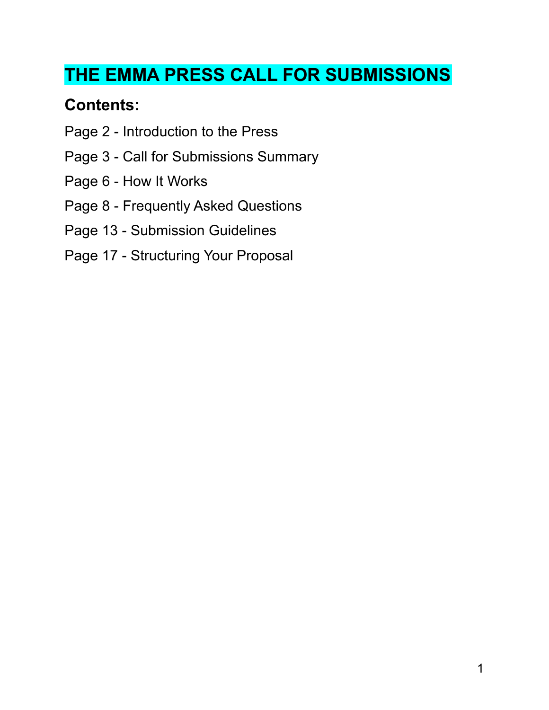# **THE EMMA PRESS CALL FOR SUBMISSIONS**

## **Contents:**

- Page 2 Introduction to the Press
- Page 3 Call for Submissions Summary
- Page 6 How It Works
- Page 8 Frequently Asked Questions
- Page 13 Submission Guidelines
- Page 17 Structuring Your Proposal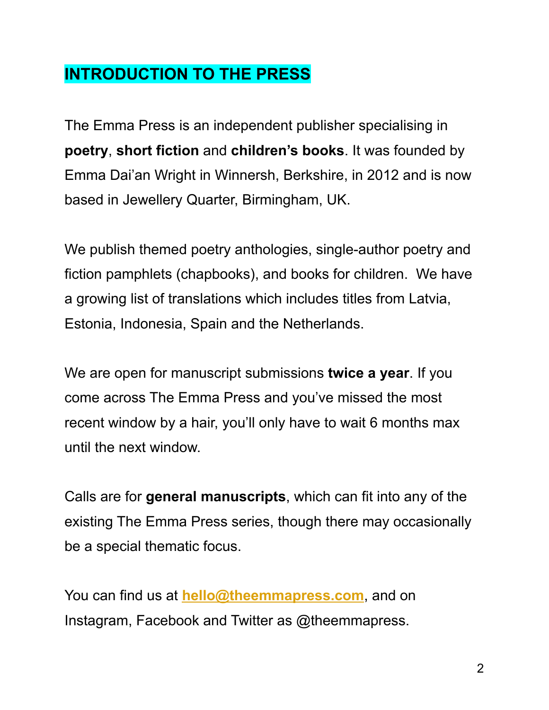## **INTRODUCTION TO THE PRESS**

The Emma Press is an independent publisher specialising in **poetry**, **short fiction** and **children's books**. It was founded by Emma Dai'an Wright in Winnersh, Berkshire, in 2012 and is now based in Jewellery Quarter, Birmingham, UK.

We publish themed poetry anthologies, single-author poetry and fiction pamphlets (chapbooks), and books for children. We have a growing list of translations which includes titles from Latvia, Estonia, Indonesia, Spain and the Netherlands.

We are open for manuscript submissions **twice a year**. If you come across The Emma Press and you've missed the most recent window by a hair, you'll only have to wait 6 months max until the next window.

Calls are for **general manuscripts**, which can fit into any of the existing The Emma Press series, though there may occasionally be a special thematic focus.

You can find us at **[hello@theemmapress.com](mailto:hello@theemmapress.com)**, and on Instagram, Facebook and Twitter as @theemmapress.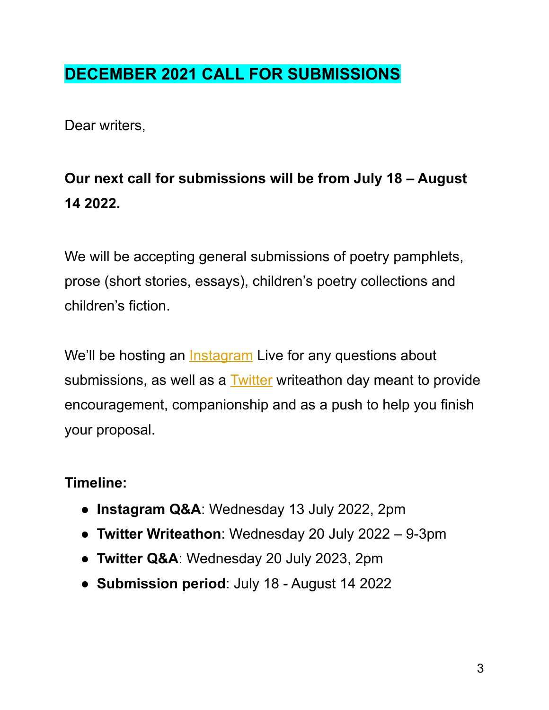# **DECEMBER 2021 CALL FOR SUBMISSIONS**

Dear writers,

# **Our next call for submissions will be from July 18 – August 14 2022.**

We will be accepting general submissions of poetry pamphlets, prose (short stories, essays), children's poetry collections and children's fiction.

We'll be hosting an [Instagram](https://www.instagram.com/theemmapress/) Live for any questions about submissions, as well as a **[Twitter](https://twitter.com/TheEmmaPress)** writeathon day meant to provide encouragement, companionship and as a push to help you finish your proposal.

### **Timeline:**

- **Instagram Q&A**: Wednesday 13 July 2022, 2pm
- **Twitter Writeathon**: Wednesday 20 July 2022 9-3pm
- **Twitter Q&A**: Wednesday 20 July 2023, 2pm
- **Submission period**: July 18 August 14 2022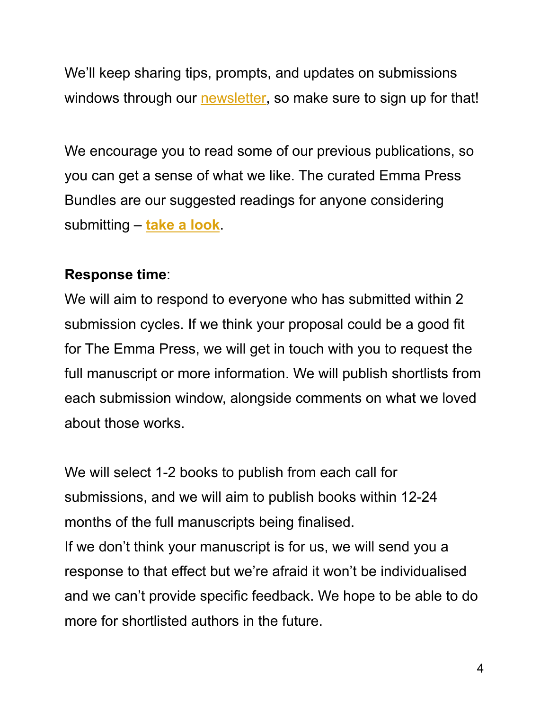We'll keep sharing tips, prompts, and updates on submissions windows through our [newsletter,](https://theemmapress.com/newsletter/) so make sure to sign up for that!

We encourage you to read some of our previous publications, so you can get a sense of what we like. The curated Emma Press Bundles are our suggested readings for anyone considering submitting – **take a [look](https://theemmapress.com/product-category/the-emma-press-bundles/)**.

#### **Response time**:

We will aim to respond to everyone who has submitted within 2 submission cycles. If we think your proposal could be a good fit for The Emma Press, we will get in touch with you to request the full manuscript or more information. We will publish shortlists from each submission window, alongside comments on what we loved about those works.

We will select 1-2 books to publish from each call for submissions, and we will aim to publish books within 12-24 months of the full manuscripts being finalised. If we don't think your manuscript is for us, we will send you a response to that effect but we're afraid it won't be individualised and we can't provide specific feedback. We hope to be able to do more for shortlisted authors in the future.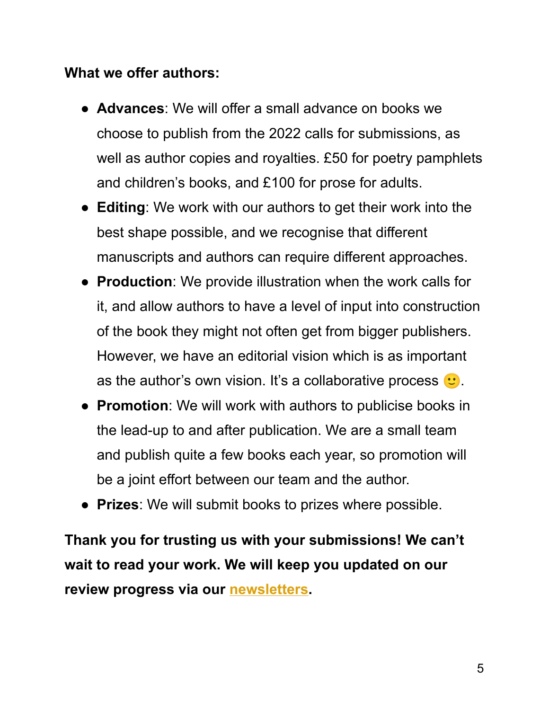#### **What we offer authors:**

- **Advances**: We will offer a small advance on books we choose to publish from the 2022 calls for submissions, as well as author copies and royalties. £50 for poetry pamphlets and children's books, and £100 for prose for adults.
- **Editing**: We work with our authors to get their work into the best shape possible, and we recognise that different manuscripts and authors can require different approaches.
- **Production**: We provide illustration when the work calls for it, and allow authors to have a level of input into construction of the book they might not often get from bigger publishers. However, we have an editorial vision which is as important as the author's own vision. It's a collaborative process  $\cdot$ .
- **Promotion**: We will work with authors to publicise books in the lead-up to and after publication. We are a small team and publish quite a few books each year, so promotion will be a joint effort between our team and the author.
- **Prizes**: We will submit books to prizes where possible.

**Thank you for trusting us with your submissions! We can't wait to read your work. We will keep you updated on our review progress via our [newsletters](https://theemmapress.com/newsletter/).**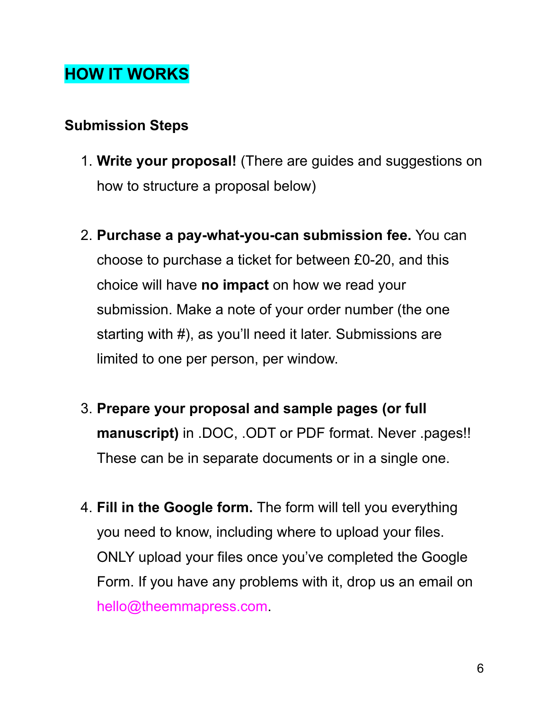# **HOW IT WORKS**

#### **Submission Steps**

- 1. **Write your proposal!** (There are guides and suggestions on how to structure a proposal below)
- 2. **Purchase a pay-what-you-can submission fee.** You can choose to purchase a ticket for between £0-20, and this choice will have **no impact** on how we read your submission. Make a note of your order number (the one starting with #), as you'll need it later. Submissions are limited to one per person, per window.
- 3. **Prepare your proposal and sample pages (or full manuscript)** in .DOC, .ODT or PDF format. Never .pages!! These can be in separate documents or in a single one.
- 4. **Fill in the Google form.** The form will tell you everything you need to know, including where to upload your files. ONLY upload your files once you've completed the Google Form. If you have any problems with it, drop us an email on hello@theemmapress.com.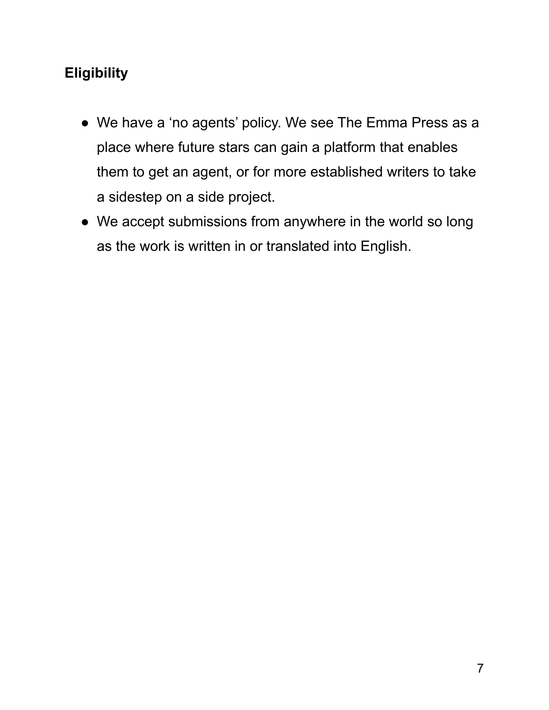## **Eligibility**

- We have a 'no agents' policy. We see The Emma Press as a place where future stars can gain a platform that enables them to get an agent, or for more established writers to take a sidestep on a side project.
- We accept submissions from anywhere in the world so long as the work is written in or translated into English.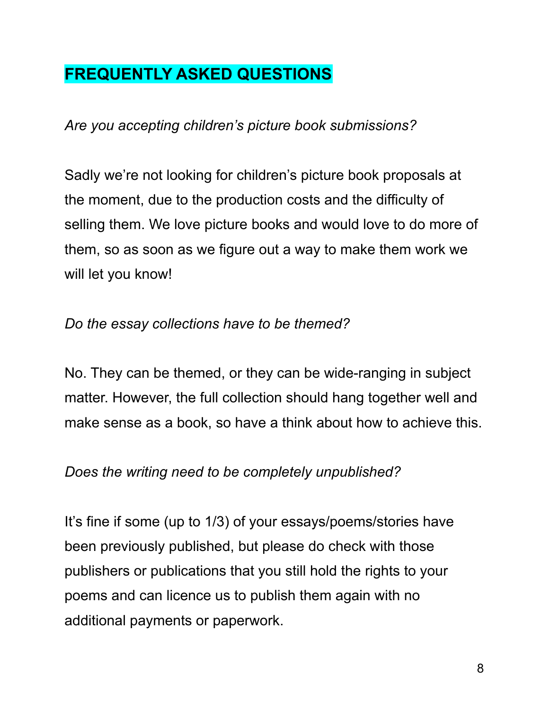## **FREQUENTLY ASKED QUESTIONS**

*Are you accepting children's picture book submissions?*

Sadly we're not looking for children's picture book proposals at the moment, due to the production costs and the difficulty of selling them. We love picture books and would love to do more of them, so as soon as we figure out a way to make them work we will let you know!

#### *Do the essay collections have to be themed?*

No. They can be themed, or they can be wide-ranging in subject matter. However, the full collection should hang together well and make sense as a book, so have a think about how to achieve this.

#### *Does the writing need to be completely unpublished?*

It's fine if some (up to 1/3) of your essays/poems/stories have been previously published, but please do check with those publishers or publications that you still hold the rights to your poems and can licence us to publish them again with no additional payments or paperwork.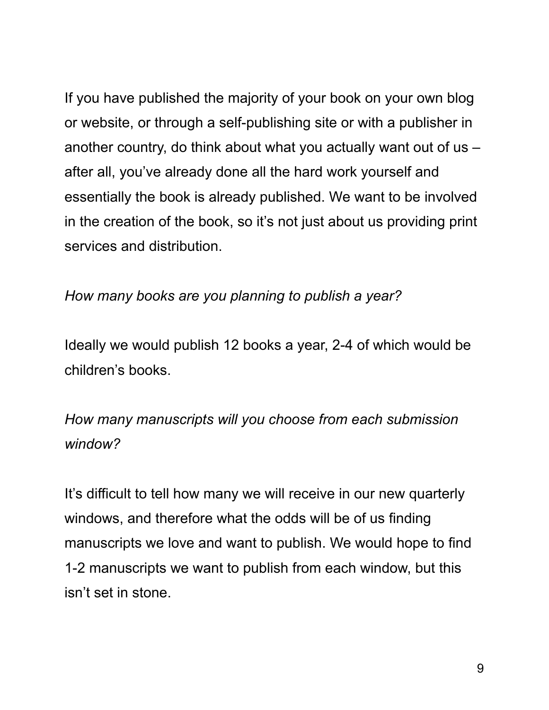If you have published the majority of your book on your own blog or website, or through a self-publishing site or with a publisher in another country, do think about what you actually want out of us – after all, you've already done all the hard work yourself and essentially the book is already published. We want to be involved in the creation of the book, so it's not just about us providing print services and distribution.

#### *How many books are you planning to publish a year?*

Ideally we would publish 12 books a year, 2-4 of which would be children's books.

## *How many manuscripts will you choose from each submission window?*

It's difficult to tell how many we will receive in our new quarterly windows, and therefore what the odds will be of us finding manuscripts we love and want to publish. We would hope to find 1-2 manuscripts we want to publish from each window, but this isn't set in stone.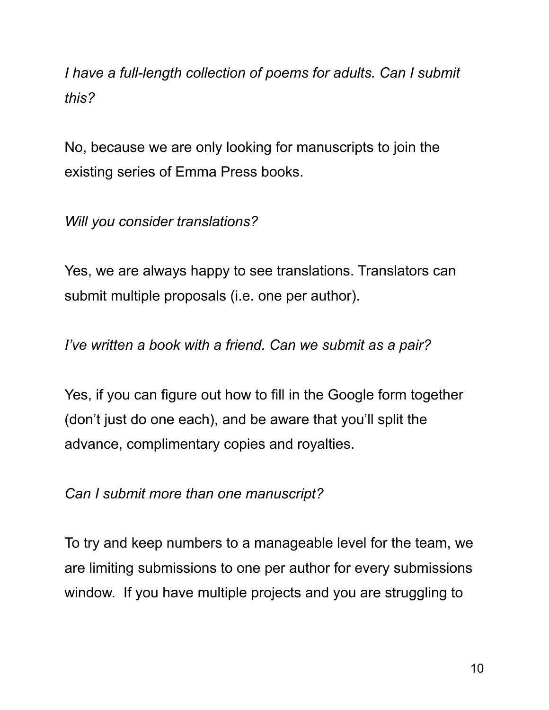*I have a full-length collection of poems for adults. Can I submit this?*

No, because we are only looking for manuscripts to join the existing series of Emma Press books.

*Will you consider translations?*

Yes, we are always happy to see translations. Translators can submit multiple proposals (i.e. one per author).

*I've written a book with a friend. Can we submit as a pair?*

Yes, if you can figure out how to fill in the Google form together (don't just do one each), and be aware that you'll split the advance, complimentary copies and royalties.

*Can I submit more than one manuscript?*

To try and keep numbers to a manageable level for the team, we are limiting submissions to one per author for every submissions window. If you have multiple projects and you are struggling to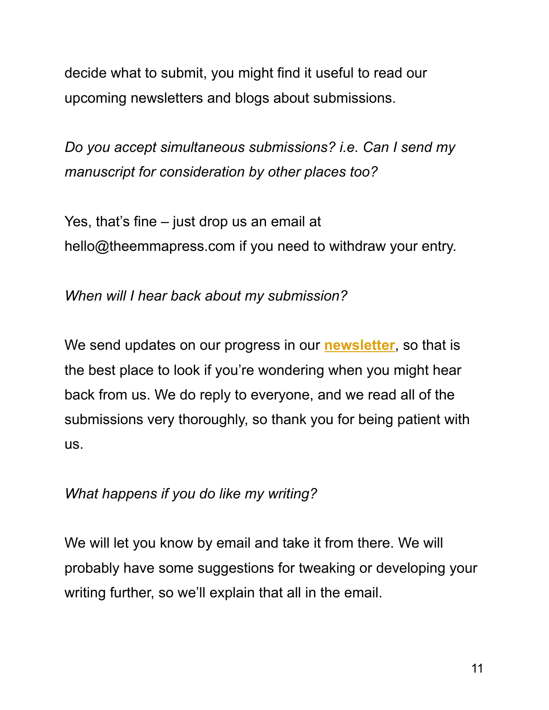decide what to submit, you might find it useful to read our upcoming newsletters and blogs about submissions.

*Do you accept simultaneous submissions? i.e. Can I send my manuscript for consideration by other places too?*

Yes, that's fine – just drop us an email at hello@theemmapress.com if you need to withdraw your entry.

*When will I hear back about my submission?*

We send updates on our progress in our **[newsletter](http://eepurl.com/csqDp9)**, so that is the best place to look if you're wondering when you might hear back from us. We do reply to everyone, and we read all of the submissions very thoroughly, so thank you for being patient with us.

#### *What happens if you do like my writing?*

We will let you know by email and take it from there. We will probably have some suggestions for tweaking or developing your writing further, so we'll explain that all in the email.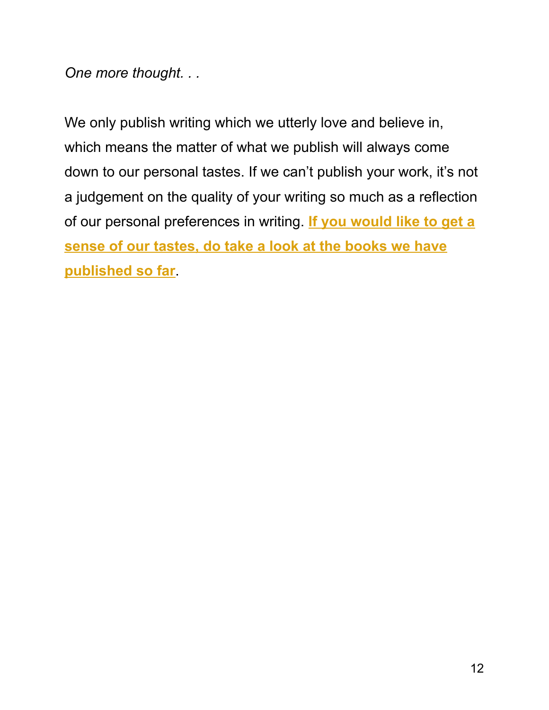*One more thought. . .*

We only publish writing which we utterly love and believe in, which means the matter of what we publish will always come down to our personal tastes. If we can't publish your work, it's not a judgement on the quality of your writing so much as a reflection of our personal preferences in writing. **If you [would](https://theemmapress.com/shop/) like to get a sense of our [tastes,](https://theemmapress.com/shop/) do take a look at the books we have [published](https://theemmapress.com/shop/) so far**.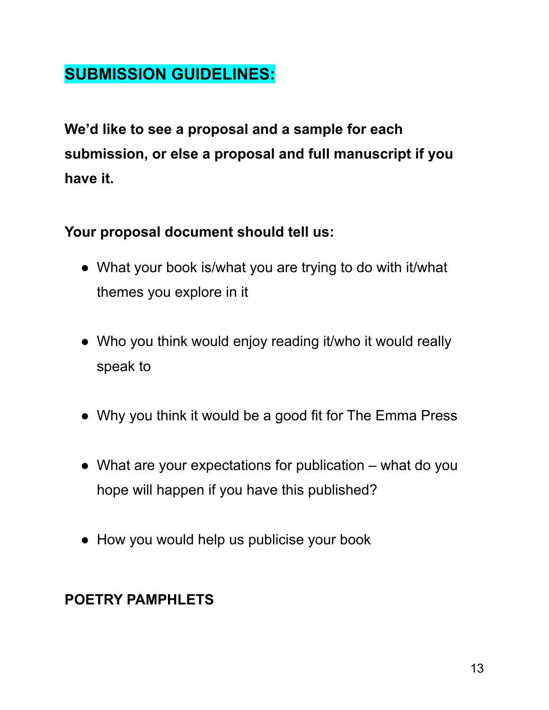# **SUBMISSION GUIDELINES:**

**We'd like to see a proposal and a sample for each submission, or else a proposal and full manuscript if you have it.**

### **Your proposal document should tell us:**

- What your book is/what you are trying to do with it/what themes you explore in it
- Who you think would enjoy reading it/who it would really speak to
- Why you think it would be a good fit for The Emma Press
- What are your expectations for publication what do you hope will happen if you have this published?
- How you would help us publicise your book

### **POETRY PAMPHLETS**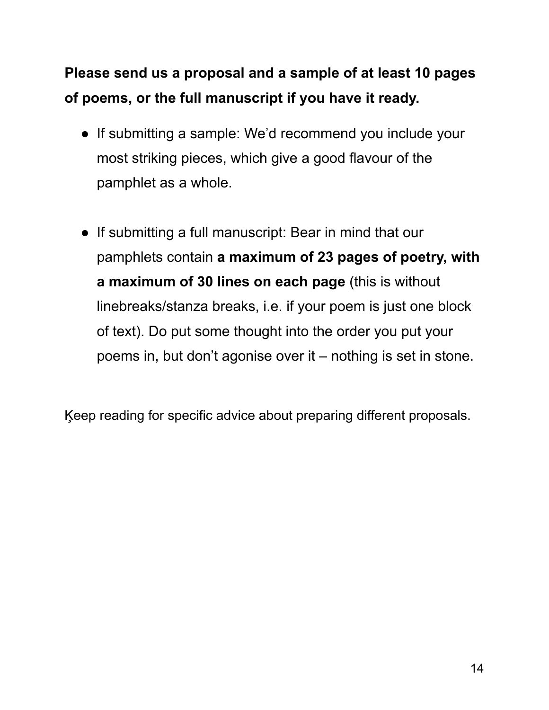# **Please send us a proposal and a sample of at least 10 pages of poems, or the full manuscript if you have it ready.**

- If submitting a sample: We'd recommend you include your most striking pieces, which give a good flavour of the pamphlet as a whole.
- If submitting a full manuscript: Bear in mind that our pamphlets contain **a maximum of 23 pages of poetry, with a maximum of 30 lines on each page** (this is without linebreaks/stanza breaks, i.e. if your poem is just one block of text). Do put some thought into the order you put your poems in, but don't agonise over it – nothing is set in stone.

Ķeep reading for specific advice about preparing different proposals.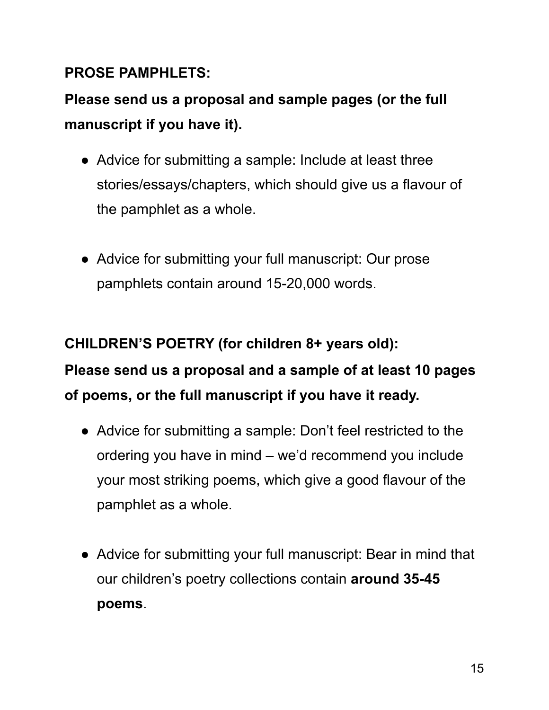#### **PROSE PAMPHLETS:**

# **Please send us a proposal and sample pages (or the full manuscript if you have it).**

- Advice for submitting a sample: Include at least three stories/essays/chapters, which should give us a flavour of the pamphlet as a whole.
- Advice for submitting your full manuscript: Our prose pamphlets contain around 15-20,000 words.

# **CHILDREN'S POETRY (for children 8+ years old): Please send us a proposal and a sample of at least 10 pages of poems, or the full manuscript if you have it ready.**

- Advice for submitting a sample: Don't feel restricted to the ordering you have in mind – we'd recommend you include your most striking poems, which give a good flavour of the pamphlet as a whole.
- Advice for submitting your full manuscript: Bear in mind that our children's poetry collections contain **around 35-45 poems**.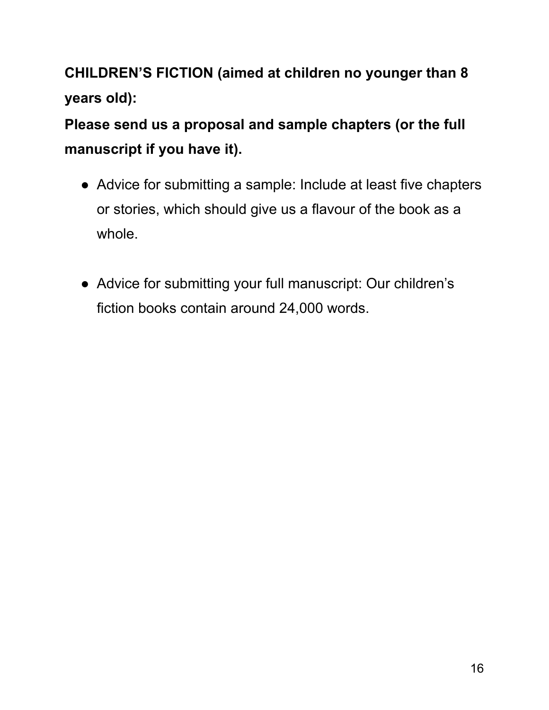**CHILDREN'S FICTION (aimed at children no younger than 8 years old):**

**Please send us a proposal and sample chapters (or the full manuscript if you have it).**

- Advice for submitting a sample: Include at least five chapters or stories, which should give us a flavour of the book as a whole.
- Advice for submitting your full manuscript: Our children's fiction books contain around 24,000 words.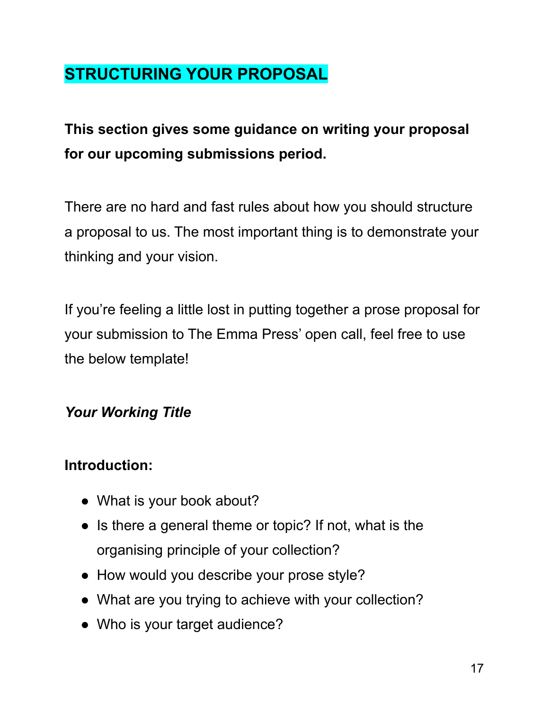# **STRUCTURING YOUR PROPOSAL**

# **This section gives some guidance on writing your proposal for our upcoming submissions period.**

There are no hard and fast rules about how you should structure a proposal to us. The most important thing is to demonstrate your thinking and your vision.

If you're feeling a little lost in putting together a prose proposal for your submission to The Emma Press' open call, feel free to use the below template!

### *Your Working Title*

### **Introduction:**

- What is your book about?
- Is there a general theme or topic? If not, what is the organising principle of your collection?
- How would you describe your prose style?
- What are you trying to achieve with your collection?
- Who is your target audience?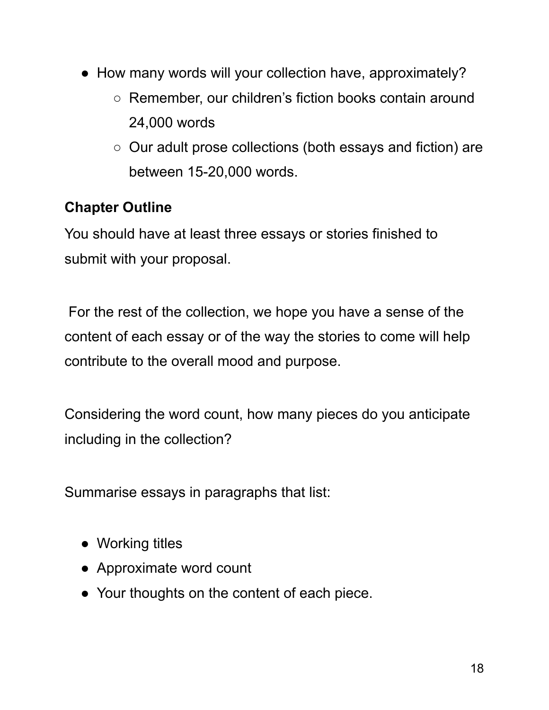- How many words will your collection have, approximately?
	- Remember, our children's fiction books contain around 24,000 words
	- Our adult prose collections (both essays and fiction) are between 15-20,000 words.

## **Chapter Outline**

You should have at least three essays or stories finished to submit with your proposal.

For the rest of the collection, we hope you have a sense of the content of each essay or of the way the stories to come will help contribute to the overall mood and purpose.

Considering the word count, how many pieces do you anticipate including in the collection?

Summarise essays in paragraphs that list:

- Working titles
- Approximate word count
- Your thoughts on the content of each piece.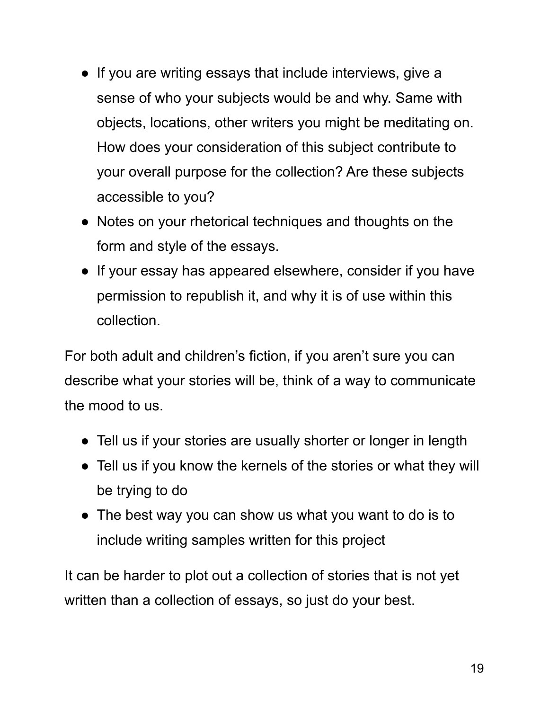- If you are writing essays that include interviews, give a sense of who your subjects would be and why. Same with objects, locations, other writers you might be meditating on. How does your consideration of this subject contribute to your overall purpose for the collection? Are these subjects accessible to you?
- Notes on your rhetorical techniques and thoughts on the form and style of the essays.
- If your essay has appeared elsewhere, consider if you have permission to republish it, and why it is of use within this collection.

For both adult and children's fiction, if you aren't sure you can describe what your stories will be, think of a way to communicate the mood to us.

- Tell us if your stories are usually shorter or longer in length
- Tell us if you know the kernels of the stories or what they will be trying to do
- The best way you can show us what you want to do is to include writing samples written for this project

It can be harder to plot out a collection of stories that is not yet written than a collection of essays, so just do your best.